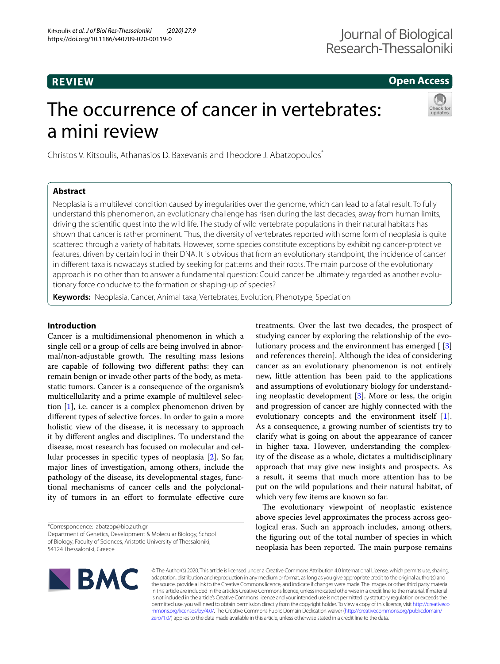# **REVIEW**

# **Open Access**

# The occurrence of cancer in vertebrates: a mini review



Christos V. Kitsoulis, Athanasios D. Baxevanis and Theodore J. Abatzopoulos\*

## **Abstract**

Neoplasia is a multilevel condition caused by irregularities over the genome, which can lead to a fatal result. To fully understand this phenomenon, an evolutionary challenge has risen during the last decades, away from human limits, driving the scientifc quest into the wild life. The study of wild vertebrate populations in their natural habitats has shown that cancer is rather prominent. Thus, the diversity of vertebrates reported with some form of neoplasia is quite scattered through a variety of habitats. However, some species constitute exceptions by exhibiting cancer-protective features, driven by certain loci in their DNA. It is obvious that from an evolutionary standpoint, the incidence of cancer in diferent taxa is nowadays studied by seeking for patterns and their roots. The main purpose of the evolutionary approach is no other than to answer a fundamental question: Could cancer be ultimately regarded as another evolutionary force conducive to the formation or shaping-up of species?

**Keywords:** Neoplasia, Cancer, Animal taxa, Vertebrates, Evolution, Phenotype, Speciation

## **Introduction**

Cancer is a multidimensional phenomenon in which a single cell or a group of cells are being involved in abnormal/non-adjustable growth. The resulting mass lesions are capable of following two diferent paths: they can remain benign or invade other parts of the body, as metastatic tumors. Cancer is a consequence of the organism's multicellularity and a prime example of multilevel selection [[1](#page-10-0)], i.e. cancer is a complex phenomenon driven by diferent types of selective forces. In order to gain a more holistic view of the disease, it is necessary to approach it by diferent angles and disciplines. Τo understand the disease, most research has focused on molecular and cellular processes in specifc types of neoplasia [[2\]](#page-10-1). So far, major lines of investigation, among others, include the pathology of the disease, its developmental stages, functional mechanisms of cancer cells and the polyclonality of tumors in an effort to formulate effective cure

\*Correspondence: abatzop@bio.auth.gr

Department of Genetics, Development & Molecular Biology, School of Biology, Faculty of Sciences, Aristotle University of Thessaloniki,

54124 Thessaloniki, Greece

treatments. Over the last two decades, the prospect of studying cancer by exploring the relationship of the evolutionary process and the environment has emerged [ [\[3](#page-10-2)] and references therein]. Although the idea of considering cancer as an evolutionary phenomenon is not entirely new, little attention has been paid to the applications and assumptions of evolutionary biology for understanding neoplastic development [[3\]](#page-10-2). More or less, the origin and progression of cancer are highly connected with the evolutionary concepts and the environment itself [\[1](#page-10-0)]. As a consequence, a growing number of scientists try to clarify what is going on about the appearance of cancer in higher taxa. However, understanding the complexity of the disease as a whole, dictates a multidisciplinary approach that may give new insights and prospects. As a result, it seems that much more attention has to be put on the wild populations and their natural habitat, of which very few items are known so far.

The evolutionary viewpoint of neoplastic existence above species level approximates the process across geological eras. Such an approach includes, among others, the fguring out of the total number of species in which neoplasia has been reported. The main purpose remains



© The Author(s) 2020. This article is licensed under a Creative Commons Attribution 4.0 International License, which permits use, sharing, adaptation, distribution and reproduction in any medium or format, as long as you give appropriate credit to the original author(s) and the source, provide a link to the Creative Commons licence, and indicate if changes were made. The images or other third party material in this article are included in the article's Creative Commons licence, unless indicated otherwise in a credit line to the material. If material is not included in the article's Creative Commons licence and your intended use is not permitted by statutory regulation or exceeds the permitted use, you will need to obtain permission directly from the copyright holder. To view a copy of this licence, visit [http://creativeco](http://creativecommons.org/licenses/by/4.0/) [mmons.org/licenses/by/4.0/.](http://creativecommons.org/licenses/by/4.0/) The Creative Commons Public Domain Dedication waiver ([http://creativecommons.org/publicdomain/](http://creativecommons.org/publicdomain/zero/1.0/) [zero/1.0/\)](http://creativecommons.org/publicdomain/zero/1.0/) applies to the data made available in this article, unless otherwise stated in a credit line to the data.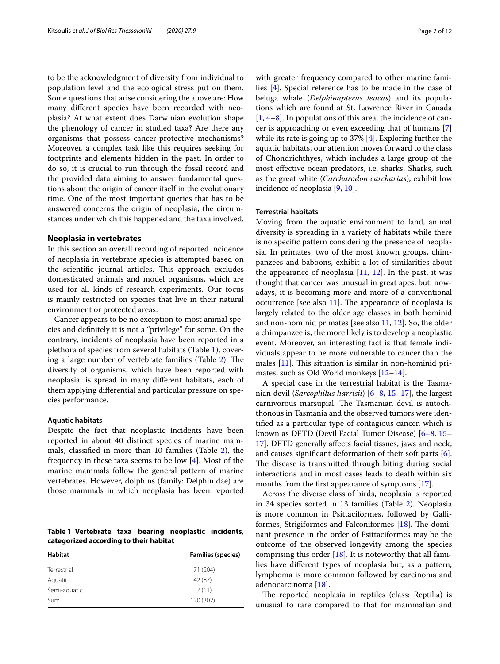to be the acknowledgment of diversity from individual to population level and the ecological stress put on them. Some questions that arise considering the above are: How many diferent species have been recorded with neoplasia? At what extent does Darwinian evolution shape the phenology of cancer in studied taxa? Are there any organisms that possess cancer-protective mechanisms? Moreover, a complex task like this requires seeking for footprints and elements hidden in the past. In order to do so, it is crucial to run through the fossil record and the provided data aiming to answer fundamental questions about the origin of cancer itself in the evolutionary time. One of the most important queries that has to be answered concerns the origin of neoplasia, the circumstances under which this happened and the taxa involved.

#### **Neoplasia in vertebrates**

In this section an overall recording of reported incidence of neoplasia in vertebrate species is attempted based on the scientific journal articles. This approach excludes domesticated animals and model organisms, which are used for all kinds of research experiments. Our focus is mainly restricted on species that live in their natural environment or protected areas.

Cancer appears to be no exception to most animal species and defnitely it is not a "privilege" for some. On the contrary, incidents of neoplasia have been reported in a plethora of species from several habitats (Table [1](#page-1-0)), covering a large number of vertebrate families (Table  $2$ ). The diversity of organisms, which have been reported with neoplasia, is spread in many diferent habitats, each of them applying diferential and particular pressure on species performance.

#### **Aquatic habitats**

Despite the fact that neoplastic incidents have been reported in about 40 distinct species of marine mammals, classifed in more than 10 families (Table [2](#page-2-0)), the frequency in these taxa seems to be low [[4\]](#page-10-3). Most of the marine mammals follow the general pattern of marine vertebrates. However, dolphins (family: Delphinidae) are those mammals in which neoplasia has been reported

<span id="page-1-0"></span>**Table 1 Vertebrate taxa bearing neoplastic incidents, categorized according to their habitat**

| Habitat      | <b>Families (species)</b> |
|--------------|---------------------------|
| Terrestrial  | 71 (204)                  |
| Aquatic      | 42 (87)                   |
| Semi-aquatic | 7(11)                     |
| Sum          | 120 (302)                 |

with greater frequency compared to other marine families [[4\]](#page-10-3). Special reference has to be made in the case of beluga whale (*Delphinapterus leucas*) and its populations which are found at St. Lawrence River in Canada [[1,](#page-10-0) [4](#page-10-3)[–8](#page-10-4)]. In populations of this area, the incidence of cancer is approaching or even exceeding that of humans [\[7](#page-10-5)] while its rate is going up to 37% [\[4](#page-10-3)]. Exploring further the aquatic habitats, our attention moves forward to the class of Chondrichthyes, which includes a large group of the most efective ocean predators, i.e. sharks. Sharks, such as the great white (*Carcharodon carcharias*), exhibit low incidence of neoplasia [[9,](#page-10-6) [10\]](#page-10-7).

### **Terrestrial habitats**

Moving from the aquatic environment to land, animal diversity is spreading in a variety of habitats while there is no specifc pattern considering the presence of neoplasia. In primates, two of the most known groups, chimpanzees and baboons, exhibit a lot of similarities about the appearance of neoplasia  $[11, 12]$  $[11, 12]$  $[11, 12]$  $[11, 12]$  $[11, 12]$ . In the past, it was thought that cancer was unusual in great apes, but, nowadays, it is becoming more and more of a conventional occurrence [see also  $11$ ]. The appearance of neoplasia is largely related to the older age classes in both hominid and non-hominid primates [see also [11](#page-10-8), [12](#page-10-9)]. So, the older a chimpanzee is, the more likely is to develop a neoplastic event. Moreover, an interesting fact is that female individuals appear to be more vulnerable to cancer than the males  $[11]$  $[11]$ . This situation is similar in non-hominid primates, such as Old World monkeys [[12–](#page-10-9)[14](#page-10-10)].

A special case in the terrestrial habitat is the Tasmanian devil (*Sarcophilus harrisii*) [\[6–](#page-10-11)[8,](#page-10-4) [15–](#page-10-12)[17](#page-10-13)], the largest carnivorous marsupial. The Tasmanian devil is autochthonous in Tasmania and the observed tumors were identifed as a particular type of contagious cancer, which is known as DFTD (Devil Facial Tumor Disease) [[6–](#page-10-11)[8,](#page-10-4) [15–](#page-10-12) [17\]](#page-10-13). DFTD generally afects facial tissues, jaws and neck, and causes signifcant deformation of their soft parts [\[6](#page-10-11)]. The disease is transmitted through biting during social interactions and in most cases leads to death within six months from the frst appearance of symptoms [\[17](#page-10-13)].

Across the diverse class of birds, neoplasia is reported in 34 species sorted in 13 families (Table [2\)](#page-2-0). Neoplasia is more common in Psittaciformes, followed by Galliformes, Strigiformes and Falconiformes  $[18]$  $[18]$ . The dominant presence in the order of Psittaciformes may be the outcome of the observed longevity among the species comprising this order  $[18]$  $[18]$ . It is noteworthy that all families have diferent types of neoplasia but, as a pattern, lymphoma is more common followed by carcinoma and adenocarcinoma [\[18](#page-10-14)].

The reported neoplasia in reptiles (class: Reptilia) is unusual to rare compared to that for mammalian and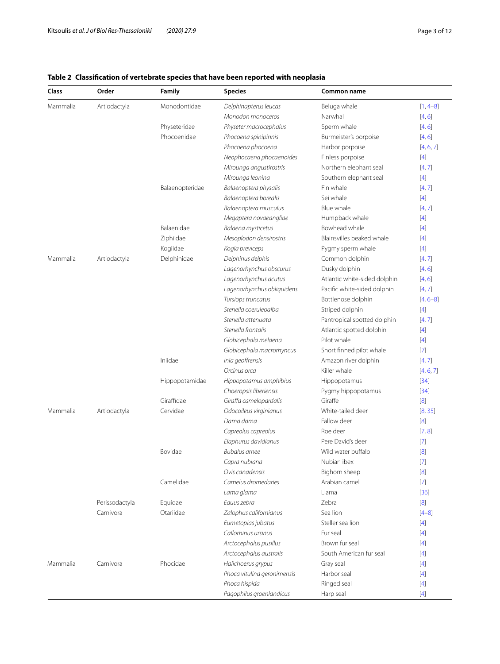# <span id="page-2-0"></span>**Table 2 Classifcation of vertebrate species that have been reported with neoplasia**

| Class    | Order          | Family          | <b>Species</b>                              | Common name                  |                     |
|----------|----------------|-----------------|---------------------------------------------|------------------------------|---------------------|
| Mammalia | Artiodactyla   | Monodontidae    | Delphinapterus leucas                       | Beluga whale                 | $[1, 4-8]$          |
|          |                |                 | Monodon monoceros                           | Narwhal                      | [4, 6]              |
|          |                | Physeteridae    | Physeter macrocephalus                      | Sperm whale                  | [4, 6]              |
|          |                | Phocoenidae     | Phocoena spinipinnis                        | Burmeister's porpoise        | [4, 6]              |
|          |                |                 | Phocoena phocoena                           | Harbor porpoise              | [4, 6, 7]           |
|          |                |                 | Neophocaena phocaenoides                    | Finless porpoise             | $[4]$               |
|          |                |                 | Mirounga angustirostris                     | Northern elephant seal       | [4, 7]              |
|          |                |                 | Mirounga leonina                            | Southern elephant seal       | $[4]$               |
|          |                | Balaenopteridae | Balaenoptera physalis                       | Fin whale                    | [4, 7]              |
|          |                |                 | Balaenoptera borealis                       | Sei whale                    | $[4]$               |
|          |                |                 | Balaenoptera musculus                       | Blue whale                   | [4, 7]              |
|          |                |                 | Megaptera novaeangliae                      | Humpback whale               | $[4]$               |
|          |                | Balaenidae      | Balaena mysticetus                          | Bowhead whale                | $[4]$               |
|          |                | Ziphiidae       | Mesoplodon densirostris                     | Blainsvilles beaked whale    | $[4]$               |
|          |                | Kogiidae        | Kogia breviceps                             | Pygmy sperm whale            | $[4]$               |
| Mammalia | Artiodactyla   | Delphinidae     | Delphinus delphis                           | Common dolphin               | [4, 7]              |
|          |                |                 | Lagenorhynchus obscurus                     | Dusky dolphin                | [4, 6]              |
|          |                |                 | Lagenorhynchus acutus                       | Atlantic white-sided dolphin | [4, 6]              |
|          |                |                 | Lagenorhynchus obliquidens                  | Pacific white-sided dolphin  | [4, 7]              |
|          |                |                 |                                             |                              |                     |
|          |                |                 | Tursiops truncatus<br>Stenella coeruleoalba | Bottlenose dolphin           | $[4, 6-8]$<br>$[4]$ |
|          |                |                 |                                             | Striped dolphin              |                     |
|          |                |                 | Stenella attenuata                          | Pantropical spotted dolphin  | [4, 7]              |
|          |                |                 | Stenella frontalis                          | Atlantic spotted dolphin     | $[4]$               |
|          |                |                 | Globicephala melaena                        | Pilot whale                  | $[4]$               |
|          |                |                 | Globicephala macrorhyncus                   | Short finned pilot whale     | $[7]$               |
|          |                | Iniidae         | Inia geoffrensis                            | Amazon river dolphin         | [4, 7]              |
|          |                |                 | Orcinus orca                                | Killer whale                 | [4, 6, 7]           |
|          |                | Hippopotamidae  | Hippopotamus amphibius                      | Hippopotamus                 | $[34]$              |
|          |                |                 | Choeropsis liberiensis                      | Pygmy hippopotamus           | $[34]$              |
|          |                | Giraffidae      | Giraffa camelopardalis                      | Giraffe                      | [8]                 |
| Mammalia | Artiodactyla   | Cervidae        | Odocoileus virginianus                      | White-tailed deer            | [8, 35]             |
|          |                |                 | Dama dama                                   | Fallow deer                  | [8]                 |
|          |                |                 | Capreolus capreolus                         | Roe deer                     | [7, 8]              |
|          |                |                 | Elaphurus davidianus                        | Pere David's deer            | $[7]$               |
|          |                | Bovidae         | <b>Bubalus</b> arnee                        | Wild water buffalo           | [8]                 |
|          |                |                 | Capra nubiana                               | Nubian ibex                  |                     |
|          |                |                 | Ovis canadensis                             | Bighorn sheep                | [8]                 |
|          |                | Camelidae       | Camelus dromedaries                         | Arabian camel                | $[7]$               |
|          |                |                 | Lama glama                                  | Llama                        | $[36]$              |
|          | Perissodactyla | Equidae         | Equus zebra                                 | Zebra                        | [8]                 |
|          | Carnivora      | Otariidae       | Zalophus californianus                      | Sea lion                     | $[4-8]$             |
|          |                |                 | Eumetopias jubatus                          | Steller sea lion             | $[4]$               |
|          |                |                 | Callorhinus ursinus                         | Fur seal                     | $[4]$               |
|          |                |                 | Arctocephalus pusillus                      | Brown fur seal               | $[4]$               |
|          |                |                 | Arctocephalus australis                     | South American fur seal      | $[4]$               |
| Mammalia | Carnivora      | Phocidae        | Halichoerus grypus                          | Gray seal                    | $[4]$               |
|          |                |                 | Phoca vitulina geronimensis                 | Harbor seal                  | $[4]$               |
|          |                |                 | Phoca hispida                               | Ringed seal                  | $[4]$               |
|          |                |                 | Pagophilus groenlandicus                    | Harp seal                    | $[4]$               |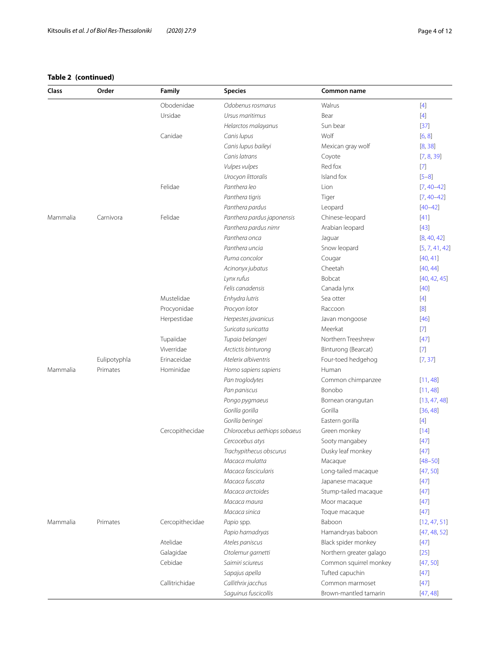| Class    | Order        | Family          | <b>Species</b>               | <b>Common name</b>      |                |
|----------|--------------|-----------------|------------------------------|-------------------------|----------------|
|          |              | Obodenidae      | Odobenus rosmarus            | Walrus                  | $[4]$          |
|          |              | Ursidae         | Ursus maritimus              | Bear                    | $[4]$          |
|          |              |                 | Helarctos malayanus          | Sun bear                | $[37]$         |
|          |              | Canidae         | Canis lupus                  | Wolf                    | [6, 8]         |
|          |              |                 | Canis lupus baileyi          | Mexican gray wolf       | [8, 38]        |
|          |              |                 | Canis latrans                | Coyote                  | [7, 8, 39]     |
|          |              |                 | Vulpes vulpes                | Red fox                 | $[7]$          |
|          |              |                 | Urocyon littoralis           | Island fox              | $[5 - 8]$      |
|          |              | Felidae         | Panthera leo                 | Lion                    | $[7, 40 - 42]$ |
|          |              |                 | Panthera tigris              | Tiger                   | $[7, 40 - 42]$ |
|          |              |                 | Panthera pardus              | Leopard                 | $[40 - 42]$    |
| Mammalia | Carnivora    | Felidae         | Panthera pardus japonensis   | Chinese-leopard         | $[41]$         |
|          |              |                 | Panthera pardus nimr         | Arabian leopard         | $[43]$         |
|          |              |                 | Panthera onca                | Jaguar                  | [8, 40, 42]    |
|          |              |                 | Panthera uncia               | Snow leopard            | [5, 7, 41, 42] |
|          |              |                 | Puma concolor                | Cougar                  | [40, 41]       |
|          |              |                 | Acinonyx jubatus             | Cheetah                 | [40, 44]       |
|          |              |                 | Lynx rufus                   | Bobcat                  | [40, 42, 45]   |
|          |              |                 | Felis canadensis             | Canada lynx             | $[40]$         |
|          |              | Mustelidae      | Enhydra lutris               | Sea otter               | $[4]$          |
|          |              | Procyonidae     | Procyon lotor                | Raccoon                 | [8]            |
|          |              | Herpestidae     | Herpestes javanicus          | Javan mongoose          | $[46]$         |
|          |              |                 | Suricata suricatta           | Meerkat                 | $[7]$          |
|          |              | Tupaiidae       | Tupaia belangeri             | Northern Treeshrew      | $[47]$         |
|          |              | Viverridae      | Arctictis binturong          | Binturong (Bearcat)     | $[7]$          |
|          | Eulipotyphla | Erinaceidae     | Atelerix albiventris         | Four-toed hedgehog      | [7, 37]        |
| Mammalia | Primates     | Hominidae       | Homo sapiens sapiens         | Human                   |                |
|          |              |                 | Pan troglodytes              | Common chimpanzee       | [11, 48]       |
|          |              |                 | Pan paniscus                 | Bonobo                  | [11, 48]       |
|          |              |                 | Pongo pygmaeus               | Bornean orangutan       | [13, 47, 48]   |
|          |              |                 | Gorilla gorilla              | Gorilla                 | [36, 48]       |
|          |              |                 | Gorilla beringei             | Eastern gorilla         | $[4]$          |
|          |              | Cercopithecidae | Chlorocebus aethiops sobaeus | Green monkey            | $[14]$         |
|          |              |                 | Cercocebus atys              | Sooty mangabey          | $[47]$         |
|          |              |                 | Trachypithecus obscurus      | Dusky leaf monkey       | $[47]$         |
|          |              |                 | Macaca mulatta               | Macaque                 | $[48 - 50]$    |
|          |              |                 | Macaca fascicularis          | Long-tailed macaque     | [47, 50]       |
|          |              |                 | Macaca fuscata               | Japanese macaque        | $[47]$         |
|          |              |                 | Macaca arctoides             | Stump-tailed macaque    | $[47]$         |
|          |              |                 | Macaca maura                 | Moor macaque            | $[47]$         |
|          |              |                 | Macaca sinica                | Toque macaque           | $[47]$         |
| Mammalia | Primates     | Cercopithecidae | Papio spp.                   | Baboon                  | [12, 47, 51]   |
|          |              |                 | Papio hamadryas              | Hamandryas baboon       | [47, 48, 52]   |
|          |              | Atelidae        | Ateles paniscus              | Black spider monkey     | $[47]$         |
|          |              | Galagidae       | Otolemur garnetti            | Northern greater galago | $[25]$         |
|          |              | Cebidae         | Saimiri sciureus             | Common squirrel monkey  | [47, 50]       |
|          |              |                 | Sapajus apella               | Tufted capuchin         | $[47]$         |
|          |              | Callitrichidae  | Callithrix jacchus           | Common marmoset         | $[47]$         |
|          |              |                 | Saguinus fuscicollis         | Brown-mantled tamarin   | [47, 48]       |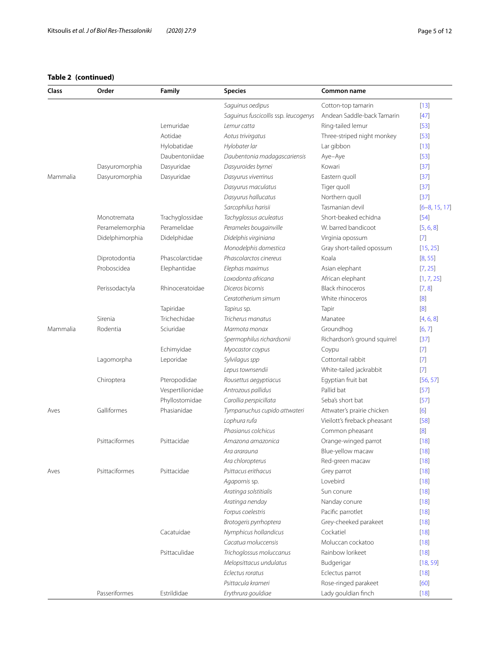| Class    | Order           | Family           | <b>Species</b>                              | <b>Common name</b>           |                 |
|----------|-----------------|------------------|---------------------------------------------|------------------------------|-----------------|
|          |                 |                  | Saguinus oedipus                            | Cotton-top tamarin           | $[13]$          |
|          |                 |                  | Saguinus fuscicollis ssp. leucogenys        | Andean Saddle-back Tamarin   | $[47]$          |
|          |                 | Lemuridae        | Lemur catta                                 | Ring-tailed lemur            | $[53]$          |
|          |                 | Aotidae          | Aotus trivirgatus                           | Three-striped night monkey   | $[53]$          |
|          |                 | Hylobatidae      | Hylobater lar                               | Lar gibbon                   | $[13]$          |
|          |                 | Daubentoniidae   | Daubentonia madagascariensis                | Aye-Aye                      | $[53]$          |
|          | Dasyuromorphia  | Dasyuridae       | Dasyuroides byrnei                          | Kowari                       | $[37]$          |
| Mammalia | Dasyuromorphia  | Dasyuridae       | Dasyurus viverrinus                         | Eastern quoll                | $[37]$          |
|          |                 |                  | Dasyurus maculatus                          | Tiger quoll                  | $[37]$          |
|          |                 |                  | Dasyurus hallucatus                         | Northern quoll               | $[37]$          |
|          |                 |                  | Sarcophilus harisii                         | Tasmanian devil              | $[6-8, 15, 17]$ |
|          | Monotremata     | Trachyglossidae  | Tachyglossus aculeatus                      | Short-beaked echidna         | $[54]$          |
|          | Peramelemorphia | Peramelidae      | Perameles bougainville                      | W. barred bandicoot          | [5, 6, 8]       |
|          | Didelphimorphia | Didelphidae      | Didelphis virginiana                        | Virginia opossum             | $[7]$           |
|          |                 |                  | Monodelphis domestica                       | Gray short-tailed opossum    | [15, 25]        |
|          | Diprotodontia   | Phascolarctidae  | Phascolarctos cinereus                      | Koala                        | [8, 55]         |
|          | Proboscidea     | Elephantidae     | Elephas maximus                             | Asian elephant               | [7, 25]         |
|          |                 |                  | Loxodonta africana                          | African elephant             | [1, 7, 25]      |
|          | Perissodactyla  | Rhinoceratoidae  | Diceros bicornis                            | <b>Black rhinoceros</b>      | [7, 8]          |
|          |                 |                  | Ceratotherium simum                         | White rhinoceros             | [8]             |
|          |                 | Tapiridae        | Tapirus sp.                                 | Tapir                        | [8]             |
|          | Sirenia         | Trichechidae     | Tricherus manatus                           | Manatee                      | [4, 6, 8]       |
| Mammalia | Rodentia        | Sciuridae        | Marmota monax                               | Groundhog                    | [6, 7]          |
|          |                 |                  | Spermophilus richardsonii                   | Richardson's ground squirrel | $[37]$          |
|          |                 | Echimyidae       | Myocastor coypus                            | Coypu                        | $[7]$           |
|          | Lagomorpha      | Leporidae        | Sylvilagus spp                              | Cottontail rabbit            | $[7]$           |
|          |                 |                  | Lepus townsendii                            | White-tailed jackrabbit      | $[7]$           |
|          | Chiroptera      | Pteropodidae     | Rousettus aegyptiacus                       | Egyptian fruit bat           | [56, 57]        |
|          |                 | Vespertilionidae | Antrozous pallidus                          | Pallid bat                   | $[57]$          |
|          |                 | Phyllostomidae   | Carollia perspicillata                      | Seba's short bat             | $[57]$          |
| Aves     | Galliformes     | Phasianidae      | Tympanuchus cupido attwateri                | Attwater's prairie chicken   | [6]             |
|          |                 |                  | Lophura rufa                                | Vieilott's fireback pheasant | $[58]$          |
|          |                 |                  | Phasianus colchicus                         | Common pheasant              | [8]             |
|          | Psittaciformes  | Psittacidae      | Amazona amazonica                           | Orange-winged parrot         | $[18]$          |
|          |                 |                  | Ara ararauna                                | Blue-yellow macaw            | $[18]$          |
|          |                 |                  | Ara chloropterus                            | Red-green macaw              | $[18]$          |
| Aves     | Psittaciformes  | Psittacidae      | Psittacus erithacus                         | Grey parrot                  | $[18]$          |
|          |                 |                  | Agapornis sp.                               | Lovebird                     | $[18]$          |
|          |                 |                  | Aratinga solstitialis                       | Sun conure                   | $[18]$          |
|          |                 |                  | Aratinga nenday                             | Nanday conure                | $[18]$          |
|          |                 |                  | Forpus coelestris                           | Pacific parrotlet            | $[18]$          |
|          |                 |                  | Brotogeris pyrrhoptera                      | Grey-cheeked parakeet        | $[18]$          |
|          |                 | Cacatuidae       | Nymphicus hollandicus                       | Cockatiel                    | $[18]$          |
|          |                 |                  | Cacatua moluccensis                         | Moluccan cockatoo            | $[18]$          |
|          |                 | Psittaculidae    |                                             | Rainbow lorikeet             | $[18]$          |
|          |                 |                  | Trichoglossus moluccanus                    |                              |                 |
|          |                 |                  | Melopsittacus undulatus<br>Eclectus roratus | Budgerigar                   | [18, 59]        |
|          |                 |                  | Psittacula krameri                          | Eclectus parrot              | $[18]$          |
|          |                 |                  |                                             | Rose-ringed parakeet         | [60]            |
|          | Passeriformes   | Estrildidae      | Erythrura gouldiae                          | Lady gouldian finch          | $[18]$          |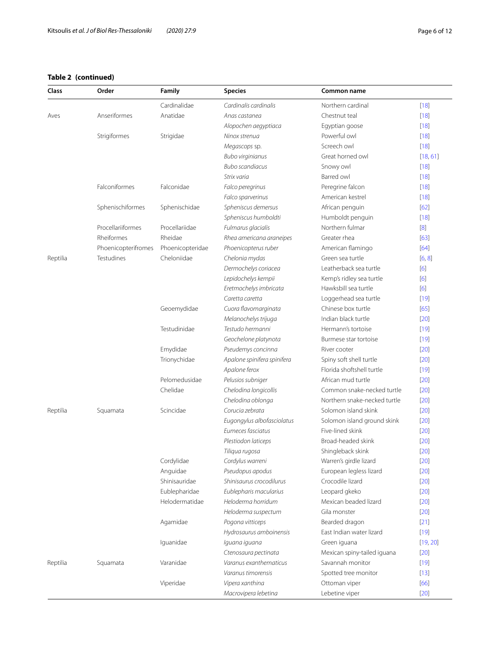| Class    | Order               | Family           | <b>Species</b>              | Common name                  |          |
|----------|---------------------|------------------|-----------------------------|------------------------------|----------|
|          |                     | Cardinalidae     | Cardinalis cardinalis       | Northern cardinal            | $[18]$   |
| Aves     | Anseriformes        | Anatidae         | Anas castanea               | Chestnut teal                | $[18]$   |
|          |                     |                  | Alopochen aegyptiaca        | Egyptian goose               | $[18]$   |
|          | Strigiformes        | Strigidae        | Ninox strenua               | Powerful owl                 | $[18]$   |
|          |                     |                  | Megascops sp.               | Screech owl                  | $[18]$   |
|          |                     |                  | Bubo virginianus            | Great horned owl             | [18, 61] |
|          |                     |                  | <b>Bubo scandiacus</b>      | Snowy owl                    | $[18]$   |
|          |                     |                  | Strix varia                 | Barred owl                   | $[18]$   |
|          | Falconiformes       | Falconidae       | Falco peregrinus            | Peregrine falcon             | $[18]$   |
|          |                     |                  | Falco sparverinus           | American kestrel             | $[18]$   |
|          | Sphenischiformes    | Sphenischidae    | Spheniscus demersus         | African penguin              | [62]     |
|          |                     |                  | Spheniscus humboldti        | Humboldt penguin             | $[18]$   |
|          | Procellariiformes   | Procellariidae   | Fulmarus glacialis          | Northern fulmar              | [8]      |
|          | Rheiformes          | Rheidae          | Rhea americana araneipes    | Greater rhea                 | [63]     |
|          | Phoenicopterifromes | Phoenicopteridae | Phoenicopterus ruber        | American flamingo            | [64]     |
| Reptilia | Testudines          | Cheloniidae      | Chelonia mydas              | Green sea turtle             | [6, 8]   |
|          |                     |                  | Dermochelys coriacea        | Leatherback sea turtle       | [6]      |
|          |                     |                  | Lepidochelys kempii         | Kemp's ridley sea turtle     | [6]      |
|          |                     |                  | Eretmochelys imbricata      | Hawksbill sea turtle         | [6]      |
|          |                     |                  | Caretta caretta             | Loggerhead sea turtle        | $[19]$   |
|          |                     | Geoemydidae      | Cuora flavomarginata        | Chinese box turtle           | [65]     |
|          |                     |                  | Melanochelys trijuga        | Indian black turtle          | $[20]$   |
|          |                     | Testudinidae     | Testudo hermanni            | Hermann's tortoise           | $[19]$   |
|          |                     |                  | Geochelone platynota        | Burmese star tortoise        | $[19]$   |
|          |                     | Emydidae         | Pseudemys concinna          | River cooter                 | $[20]$   |
|          |                     | Trionychidae     | Apalone spinifera spinifera | Spiny soft shell turtle      | $[20]$   |
|          |                     |                  | Apalone ferox               | Florida shoftshell turtle    | $[19]$   |
|          |                     | Pelomedusidae    | Pelusios subniger           | African mud turtle           | $[20]$   |
|          |                     | Chelidae         | Chelodina longicollis       | Common snake-necked turtle   | $[20]$   |
|          |                     |                  | Chelodina oblonga           | Northern snake-necked turtle | $[20]$   |
| Reptilia | Squamata            | Scincidae        | Corucia zebrata             | Solomon island skink         | $[20]$   |
|          |                     |                  | Eugongylus albofasciolatus  | Solomon island ground skink  | $[20]$   |
|          |                     |                  | Eumeces fasciatus           | Five-lined skink             | [20]     |
|          |                     |                  | Plestiodon laticeps         | Broad-headed skink           | $[20]$   |
|          |                     |                  | Tiliqua rugosa              | Shingleback skink            | $[20]$   |
|          |                     | Cordylidae       | Cordylus warreni            | Warren's girdle lizard       | $[20]$   |
|          |                     | Anguidae         | Pseudopus apodus            | European legless lizard      | $[20]$   |
|          |                     | Shinisauridae    | Shinisaurus crocodilurus    | Crocodile lizard             | $[20]$   |
|          |                     | Eublepharidae    | Eublepharis macularius      | Leopard gkeko                | $[20]$   |
|          |                     | Helodermatidae   | Heloderma horridum          | Mexican beaded lizard        | $[20]$   |
|          |                     |                  | Heloderma suspectum         | Gila monster                 | $[20]$   |
|          |                     | Agamidae         | Pogona vitticeps            | Bearded dragon               | $[21]$   |
|          |                     |                  | Hydrosaurus amboinensis     | East Indian water lizard     | $[19]$   |
|          |                     | Iguanidae        | Iguana iguana               | Green iguana                 | [19, 20] |
|          |                     |                  | Ctenosaura pectinata        | Mexican spiny-tailed iguana  | $[20]$   |
| Reptilia | Squamata            | Varanidae        | Varanus exanthematicus      | Savannah monitor             | $[19]$   |
|          |                     |                  | Varanus timorensis          | Spotted tree monitor         | $[13]$   |
|          |                     | Viperidae        | Vipera xanthina             | Ottoman viper                | [66]     |
|          |                     |                  | Macrovipera lebetina        | Lebetine viper               | $[20]$   |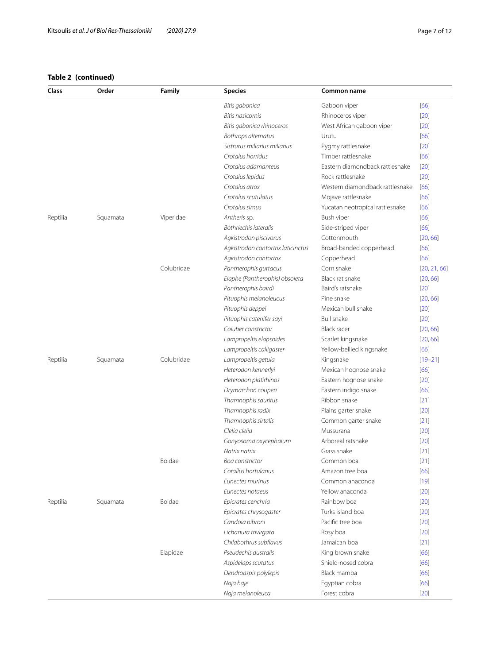| Class    | Order    | Family     | <b>Species</b>                     | Common name                     |              |
|----------|----------|------------|------------------------------------|---------------------------------|--------------|
|          |          |            | Bitis gabonica                     | Gaboon viper                    | [66]         |
|          |          |            | Bitis nasicornis                   | Rhinoceros viper                | $[20]$       |
|          |          |            | Bitis gabonica rhinoceros          | West African gaboon viper       | $[20]$       |
|          |          |            | Bothrops alternatus                | Urutu                           | [66]         |
|          |          |            | Sistrurus miliarius miliarius      | Pygmy rattlesnake               | $[20]$       |
|          |          |            | Crotalus horridus                  | Timber rattlesnake              | [66]         |
|          |          |            | Crotalus adamanteus                | Eastern diamondback rattlesnake | $[20]$       |
|          |          |            | Crotalus lepidus                   | Rock rattlesnake                | $[20]$       |
|          |          |            | Crotalus atrox                     | Western diamondback rattlesnake | [66]         |
|          |          |            | Crotalus scutulatus                | Mojave rattlesnake              | [66]         |
|          |          |            | Crotalus simus                     | Yucatan neotropical rattlesnake | [66]         |
| Reptilia | Squamata | Viperidae  | Antheris sp.                       | Bush viper                      | [66]         |
|          |          |            | Bothriechis lateralis              | Side-striped viper              | [66]         |
|          |          |            | Agkistrodon piscivorus             | Cottonmouth                     | [20, 66]     |
|          |          |            | Agkistrodon contortrix laticinctus | Broad-banded copperhead         | [66]         |
|          |          |            | Agkistrodon contortrix             | Copperhead                      | [66]         |
|          |          | Colubridae | Pantherophis guttacus              | Corn snake                      | [20, 21, 66] |
|          |          |            | Elaphe (Pantherophis) obsoleta     | Black rat snake                 | [20, 66]     |
|          |          |            | Pantherophis bairdi                | Baird's ratsnake                | $[20]$       |
|          |          |            | Pituophis melanoleucus             | Pine snake                      | [20, 66]     |
|          |          |            | Pituophis deppei                   | Mexican bull snake              | $[20]$       |
|          |          |            | Pituophis catenifer sayi           | <b>Bull snake</b>               | $[20]$       |
|          |          |            | Coluber constrictor                | Black racer                     | [20, 66]     |
|          |          |            | Lampropeltis elapsoides            | Scarlet kingsnake               | [20, 66]     |
|          |          |            | Lampropeltis calligaster           | Yellow-bellied kingsnake        | [66]         |
| Reptilia | Squamata | Colubridae | Lampropeltis getula                | Kingsnake                       | $[19 - 21]$  |
|          |          |            | Heterodon kennerlyi                | Mexican hognose snake           | [66]         |
|          |          |            | Heterodon platirhinos              | Eastern hognose snake           | $[20]$       |
|          |          |            | Drymarchon couperi                 | Eastern indigo snake            | [66]         |
|          |          |            | Thamnophis sauritus                | Ribbon snake                    | [21]         |
|          |          |            | Thamnophis radix                   | Plains garter snake             | $[20]$       |
|          |          |            | Thamnophis sirtalis                | Common garter snake             | $[21]$       |
|          |          |            | Clelia clelia                      | Mussurana                       | $[20]$       |
|          |          |            | Gonyosoma oxycephalum              | Arboreal ratsnake               | $[20]$       |
|          |          |            | Natrix natrix                      | Grass snake                     | $[21]$       |
|          |          | Boidae     | Boa constrictor                    | Common boa                      | $[21]$       |
|          |          |            | Corallus hortulanus                | Amazon tree boa                 | [66]         |
|          |          |            | Eunectes murinus                   | Common anaconda                 | $[19]$       |
|          |          |            | Eunectes notaeus                   | Yellow anaconda                 | $[20]$       |
| Reptilia | Squamata | Boidae     | Epicrates cenchria                 | Rainbow boa                     | $[20]$       |
|          |          |            | Epicrates chrysogaster             | Turks island boa                | $[20]$       |
|          |          |            | Candoia bibroni                    | Pacific tree boa                | $[20]$       |
|          |          |            | Lichanura trivirgata               | Rosy boa                        | $[20]$       |
|          |          |            | Chilabothrus subflavus             | Jamaican boa                    | $[21]$       |
|          |          | Elapidae   | Pseudechis australis               | King brown snake                | [66]         |
|          |          |            | Aspidelaps scutatus                | Shield-nosed cobra              | [66]         |
|          |          |            | Dendroaspis polylepis              | Black mamba                     | [66]         |
|          |          |            | Naja haje                          | Egyptian cobra                  | [66]         |
|          |          |            | Naja melanoleuca                   | Forest cobra                    | $[20]$       |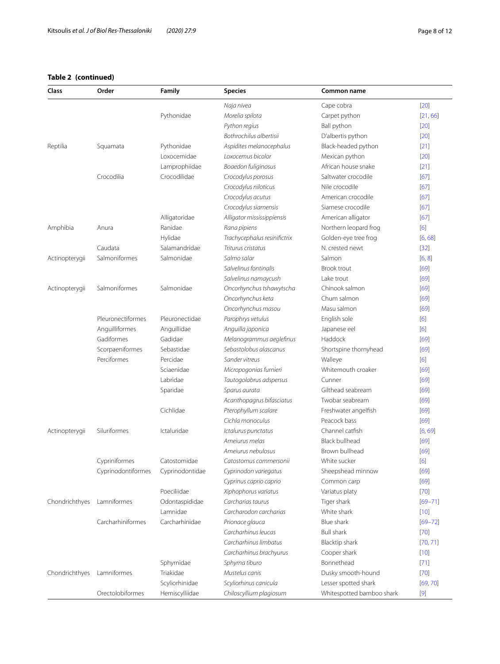| Class          | Order              | Family          | <b>Species</b>               | Common name               |             |
|----------------|--------------------|-----------------|------------------------------|---------------------------|-------------|
|                |                    |                 | Naja nivea                   | Cape cobra                | $[20]$      |
|                |                    | Pythonidae      | Morelia spilota              | Carpet python             | [21, 66]    |
|                |                    |                 | Python regius                | Ball python               | $[20]$      |
|                |                    |                 | Bothrochilus albertisii      | D'albertis python         | $[20]$      |
| Reptilia       | Squamata           | Pythonidae      | Aspidites melanocephalus     | Black-headed python       | $[21]$      |
|                |                    | Loxocemidae     | Loxocemus bicolor            | Mexican python            | $[20]$      |
|                |                    | Lamprophiidae   | Boaedon fuliginosus          | African house snake       | $[21]$      |
|                | Crocodilia         | Crocodilidae    | Crocodylus porosus           | Saltwater crocodile       | [67]        |
|                |                    |                 | Crocodylus niloticus         | Nile crocodile            | [67]        |
|                |                    |                 | Crocodylus acutus            | American crocodile        | [67]        |
|                |                    |                 | Crocodylus siamensis         | Siamese crocodile         | [67]        |
|                |                    | Alligatoridae   | Alligator mississippiensis   | American alligator        | [67]        |
| Amphibia       | Anura              | Ranidae         | Rana pipiens                 | Northern leopard frog     | [6]         |
|                |                    | Hylidae         | Trachycephalus resinifictrix | Golden-eye tree frog      | [6, 68]     |
|                | Caudata            | Salamandridae   | Triturus cristatus           | N. crested newt           | $[32]$      |
| Actinopterygii | Salmoniformes      | Salmonidae      | Salmo salar                  | Salmon                    | [6, 8]      |
|                |                    |                 | Salvelinus fontinalis        | <b>Brook trout</b>        | [69]        |
|                |                    |                 | Salvelinus namaycush         | Lake trout                | [69]        |
| Actinopterygii | Salmoniformes      | Salmonidae      | Oncorhynchus tshawytscha     | Chinook salmon            | [69]        |
|                |                    |                 | Oncorhynchus keta            | Chum salmon               | [69]        |
|                |                    |                 | Oncorhynchus masou           | Masu salmon               | [69]        |
|                | Pleuronectiformes  | Pleuronectidae  | Parophrys vetulus            | English sole              | [6]         |
|                | Anguilliformes     | Anguillidae     | Anguilla japonica            | Japanese eel              | [6]         |
|                | Gadiformes         | Gadidae         | Melanogrammus aeglefinus     | Haddock                   | [69]        |
|                | Scorpaeniformes    | Sebastidae      | Sebastolobus alascanus       | Shortspine thornyhead     | [69]        |
|                | Perciformes        | Percidae        | Sander vitreus               | Walleye                   | [6]         |
|                |                    | Sciaenidae      | Micropogonias furnieri       | Whitemouth croaker        | [69]        |
|                |                    | Labridae        | Tautogolabrus adspersus      | Cunner                    | [69]        |
|                |                    | Sparidae        | Sparus aurata                | Gilthead seabream         | [69]        |
|                |                    |                 | Acanthopagrus bifasciatus    | Twobar seabream           | [69]        |
|                |                    | Cichlidae       | Pterophyllum scalare         | Freshwater angelfish      | [69]        |
|                |                    |                 | Cichla monoculus             | Peacock bass              | [69]        |
| Actinopterygii | Siluriformes       | Ictaluridae     | Ictalurus punctatus          | Channel catfish           | [6, 69]     |
|                |                    |                 | Ameiurus melas               | <b>Black bullhead</b>     | [69]        |
|                |                    |                 | Ameiurus nebulosus           | Brown bullhead            | [69]        |
|                | Cypriniformes      | Catostomidae    | Catostomus commersonii       | White sucker              | [6]         |
|                | Cyprinodontiformes | Cyprinodontidae | Cyprinodon variegatus        | Sheepshead minnow         | [69]        |
|                |                    |                 | Cyprinus caprio caprio       | Common carp               | [69]        |
|                |                    | Poeciliidae     | Xiphophorus variatus         | Variatus platy            | $[70]$      |
| Chondrichthyes | Lamniformes        | Odontaspididae  | Carcharias taurus            | Tiger shark               | $[69 - 71]$ |
|                |                    | Lamnidae        | Carcharodon carcharias       | White shark               | $[10]$      |
|                | Carcharhiniformes  | Carcharhinidae  | Prionace glauca              | Blue shark                | $[69 - 72]$ |
|                |                    |                 | Carcharhinus leucas          | <b>Bull shark</b>         | $[70]$      |
|                |                    |                 | Carcharhinus limbatus        | Blacktip shark            | [70, 71]    |
|                |                    |                 | Carcharhinus brachyurus      | Cooper shark              | $[10]$      |
|                |                    | Sphyrnidae      | Sphyrna tiburo               | Bonnethead                | $[71]$      |
| Chondrichthyes | Lamniformes        | Triakidae       | Mustelus canis               | Dusky smooth-hound        | $[70]$      |
|                |                    | Scyliorhinidae  | Scyliorhinus canicula        | Lesser spotted shark      | [69, 70]    |
|                | Orectolobiformes   | Hemiscylliidae  | Chiloscyllium plagiosum      | Whitespotted bamboo shark | $[9]$       |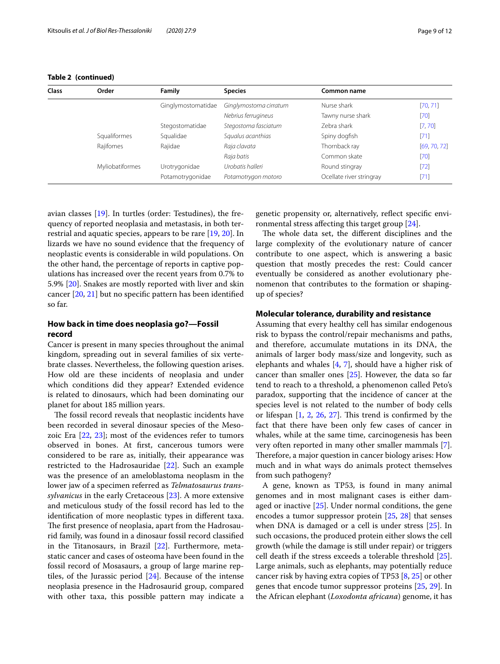| <b>Class</b> | Order           | Family             | <b>Species</b>         | Common name              |              |
|--------------|-----------------|--------------------|------------------------|--------------------------|--------------|
|              |                 | Ginglymostomatidae | Ginglymostoma cirratum | Nurse shark              | [70, 71]     |
|              |                 |                    | Nebrius ferrugineus    | Tawny nurse shark        | $[70]$       |
|              |                 | Stegostomatidae    | Stegostoma fasciatum   | Zebra shark              | [7, 70]      |
|              | Squaliformes    | Squalidae          | Squalus acanthias      | Spiny dogfish            | [71]         |
|              | Rajifomes       | Rajidae            | Raja clavata           | Thornback ray            | [69, 70, 72] |
|              |                 |                    | Raja batis             | Common skate             | $[70]$       |
|              | Myliobatiformes | Urotrygonidae      | Urobatis halleri       | Round stingray           | $[72]$       |
|              |                 | Potamotrygonidae   | Potamotrygon motoro    | Ocellate river stringray | [71]         |

avian classes [[19](#page-10-22)]. In turtles (order: Testudines), the frequency of reported neoplasia and metastasis, in both terrestrial and aquatic species, appears to be rare [[19,](#page-10-22) [20](#page-10-23)]. In lizards we have no sound evidence that the frequency of neoplastic events is considerable in wild populations. On the other hand, the percentage of reports in captive populations has increased over the recent years from 0.7% to 5.9% [[20](#page-10-23)]. Snakes are mostly reported with liver and skin cancer [\[20](#page-10-23), [21\]](#page-10-24) but no specifc pattern has been identifed so far.

## **How back in time does neoplasia go?—Fossil record**

Cancer is present in many species throughout the animal kingdom, spreading out in several families of six vertebrate classes. Nevertheless, the following question arises. How old are these incidents of neoplasia and under which conditions did they appear? Extended evidence is related to dinosaurs, which had been dominating our planet for about 185 million years.

The fossil record reveals that neoplastic incidents have been recorded in several dinosaur species of the Mesozoic Era [\[22,](#page-10-26) [23\]](#page-10-27); most of the evidences refer to tumors observed in bones. At frst, cancerous tumors were considered to be rare as, initially, their appearance was restricted to the Hadrosauridae [\[22](#page-10-26)]. Such an example was the presence of an ameloblastoma neoplasm in the lower jaw of a specimen referred as *Telmatosaurus transsylvanicus* in the early Cretaceous [\[23](#page-10-27)]. A more extensive and meticulous study of the fossil record has led to the identifcation of more neoplastic types in diferent taxa. The first presence of neoplasia, apart from the Hadrosaurid family, was found in a dinosaur fossil record classifed in the Titanosaurs, in Brazil [\[22\]](#page-10-26). Furthermore, metastatic cancer and cases of osteoma have been found in the fossil record of Mosasaurs, a group of large marine reptiles, of the Jurassic period [[24\]](#page-10-28). Because of the intense neoplasia presence in the Hadrosaurid group, compared with other taxa, this possible pattern may indicate a

genetic propensity or, alternatively, refect specifc environmental stress afecting this target group [[24\]](#page-10-28).

The whole data set, the different disciplines and the large complexity of the evolutionary nature of cancer contribute to one aspect, which is answering a basic question that mostly precedes the rest: Could cancer eventually be considered as another evolutionary phenomenon that contributes to the formation or shapingup of species?

## **Molecular tolerance, durability and resistance**

Assuming that every healthy cell has similar endogenous risk to bypass the control/repair mechanisms and paths, and therefore, accumulate mutations in its DNA, the animals of larger body mass/size and longevity, such as elephants and whales [\[4](#page-10-3), [7](#page-10-5)], should have a higher risk of cancer than smaller ones [\[25](#page-10-21)]. However, the data so far tend to reach to a threshold, a phenomenon called Peto's paradox, supporting that the incidence of cancer at the species level is not related to the number of body cells or lifespan  $[1, 2, 26, 27]$  $[1, 2, 26, 27]$  $[1, 2, 26, 27]$  $[1, 2, 26, 27]$  $[1, 2, 26, 27]$  $[1, 2, 26, 27]$  $[1, 2, 26, 27]$ . This trend is confirmed by the fact that there have been only few cases of cancer in whales, while at the same time, carcinogenesis has been very often reported in many other smaller mammals [\[7](#page-10-5)]. Therefore, a major question in cancer biology arises: How much and in what ways do animals protect themselves from such pathogeny?

A gene, known as TP53, is found in many animal genomes and in most malignant cases is either damaged or inactive [\[25\]](#page-10-21). Under normal conditions, the gene encodes a tumor suppressor protein [[25](#page-10-21), [28\]](#page-10-31) that senses when DNA is damaged or a cell is under stress [\[25\]](#page-10-21). In such occasions, the produced protein either slows the cell growth (while the damage is still under repair) or triggers cell death if the stress exceeds a tolerable threshold [\[25](#page-10-21)]. Large animals, such as elephants, may potentially reduce cancer risk by having extra copies of TP53  $[8, 25]$  $[8, 25]$  $[8, 25]$  $[8, 25]$  or other genes that encode tumor suppressor proteins [[25,](#page-10-21) [29\]](#page-10-32). In the African elephant (*Loxodonta africana*) genome, it has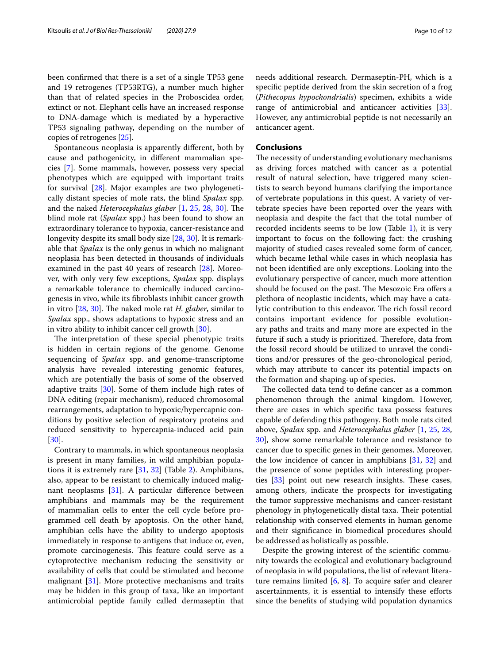been confrmed that there is a set of a single TP53 gene and 19 retrogenes (TP53RTG), a number much higher than that of related species in the Proboscidea order, extinct or not. Elephant cells have an increased response to DNA-damage which is mediated by a hyperactive TP53 signaling pathway, depending on the number of copies of retrogenes [[25\]](#page-10-21).

Spontaneous neoplasia is apparently diferent, both by cause and pathogenicity, in diferent mammalian species [\[7](#page-10-5)]. Some mammals, however, possess very special phenotypes which are equipped with important traits for survival [\[28](#page-10-31)]. Major examples are two phylogenetically distant species of mole rats, the blind *Spalax* spp. and the naked *Heterocephalus glaber* [\[1,](#page-10-0) [25](#page-10-21), [28](#page-10-31), [30\]](#page-10-33). The blind mole rat (*Spalax* spp.) has been found to show an extraordinary tolerance to hypoxia, cancer-resistance and longevity despite its small body size [\[28,](#page-10-31) [30](#page-10-33)]. It is remarkable that *Spalax* is the only genus in which no malignant neoplasia has been detected in thousands of individuals examined in the past 40 years of research [\[28](#page-10-31)]. Moreover, with only very few exceptions, *Spalax* spp. displays a remarkable tolerance to chemically induced carcinogenesis in vivo, while its fbroblasts inhibit cancer growth in vitro [[28,](#page-10-31) [30\]](#page-10-33). The naked mole rat *H. glaber*, similar to *Spalax* spp., shows adaptations to hypoxic stress and an in vitro ability to inhibit cancer cell growth [[30](#page-10-33)].

The interpretation of these special phenotypic traits is hidden in certain regions of the genome. Genome sequencing of *Spalax* spp. and genome-transcriptome analysis have revealed interesting genomic features, which are potentially the basis of some of the observed adaptive traits [\[30](#page-10-33)]. Some of them include high rates of DNA editing (repair mechanism), reduced chromosomal rearrangements, adaptation to hypoxic/hypercapnic conditions by positive selection of respiratory proteins and reduced sensitivity to hypercapnia-induced acid pain [[30\]](#page-10-33).

Contrary to mammals, in which spontaneous neoplasia is present in many families, in wild amphibian populations it is extremely rare [[31](#page-10-34), [32\]](#page-10-25) (Table [2\)](#page-2-0). Amphibians, also, appear to be resistant to chemically induced malignant neoplasms [\[31](#page-10-34)]. A particular diference between amphibians and mammals may be the requirement of mammalian cells to enter the cell cycle before programmed cell death by apoptosis. On the other hand, amphibian cells have the ability to undergo apoptosis immediately in response to antigens that induce or, even, promote carcinogenesis. This feature could serve as a cytoprotective mechanism reducing the sensitivity or availability of cells that could be stimulated and become malignant [[31\]](#page-10-34). More protective mechanisms and traits may be hidden in this group of taxa, like an important antimicrobial peptide family called dermaseptin that needs additional research. Dermaseptin-PH, which is a specifc peptide derived from the skin secretion of a frog (*Pithecopus hypochondrialis*) specimen, exhibits a wide range of antimicrobial and anticancer activities [\[33](#page-10-35)]. However, any antimicrobial peptide is not necessarily an anticancer agent.

### **Conclusions**

The necessity of understanding evolutionary mechanisms as driving forces matched with cancer as a potential result of natural selection, have triggered many scientists to search beyond humans clarifying the importance of vertebrate populations in this quest. A variety of vertebrate species have been reported over the years with neoplasia and despite the fact that the total number of recorded incidents seems to be low (Table [1](#page-1-0)), it is very important to focus on the following fact: the crushing majority of studied cases revealed some form of cancer, which became lethal while cases in which neoplasia has not been identifed are only exceptions. Looking into the evolutionary perspective of cancer, much more attention should be focused on the past. The Mesozoic Era offers a plethora of neoplastic incidents, which may have a catalytic contribution to this endeavor. The rich fossil record contains important evidence for possible evolutionary paths and traits and many more are expected in the future if such a study is prioritized. Therefore, data from the fossil record should be utilized to unravel the conditions and/or pressures of the geo-chronological period, which may attribute to cancer its potential impacts on the formation and shaping-up of species.

The collected data tend to define cancer as a common phenomenon through the animal kingdom. However, there are cases in which specifc taxa possess features capable of defending this pathogeny. Both mole rats cited above, *Spalax* spp. and *Heterocephalus glaber* [[1,](#page-10-0) [25](#page-10-21), [28](#page-10-31), [30\]](#page-10-33), show some remarkable tolerance and resistance to cancer due to specifc genes in their genomes. Moreover, the low incidence of cancer in amphibians [[31,](#page-10-34) [32\]](#page-10-25) and the presence of some peptides with interesting properties  $[33]$  $[33]$  point out new research insights. These cases, among others, indicate the prospects for investigating the tumor suppressive mechanisms and cancer-resistant phenology in phylogenetically distal taxa. Their potential relationship with conserved elements in human genome and their signifcance in biomedical procedures should be addressed as holistically as possible.

Despite the growing interest of the scientifc community towards the ecological and evolutionary background of neoplasia in wild populations, the list of relevant literature remains limited [[6,](#page-10-11) [8](#page-10-4)]. To acquire safer and clearer ascertainments, it is essential to intensify these eforts since the benefts of studying wild population dynamics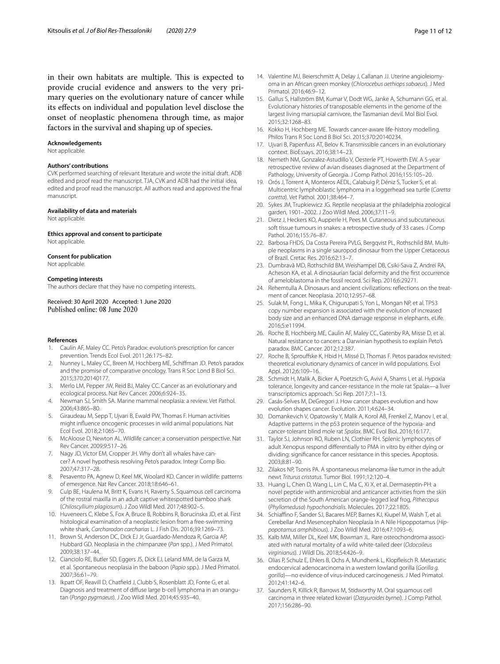in their own habitats are multiple. This is expected to provide crucial evidence and answers to the very primary queries on the evolutionary nature of cancer while its efects on individual and population level disclose the onset of neoplastic phenomena through time, as major factors in the survival and shaping up of species.

#### **Acknowledgements**

Not applicable.

#### **Authors' contributions**

CVK performed searching of relevant literature and wrote the initial draft. ADB edited and proof read the manuscript. TJA, CVK and ADB had the initial idea, edited and proof read the manuscript. All authors read and approved the fnal manuscript.

#### **Availability of data and materials**

Not applicable.

# **Ethics approval and consent to participate**

Not applicable.

#### **Consent for publication**

Not applicable.

#### **Competing interests**

The authors declare that they have no competing interests.

#### Received: 30 April 2020 Accepted: 1 June 2020 Published online: 08 June 2020

#### **References**

- <span id="page-10-0"></span>1. Caulin AF, Maley CC. Peto's Paradox: evolution's prescription for cancer prevention. Trends Ecol Evol. 2011;26:175–82.
- <span id="page-10-1"></span>2. Nunney L, Maley CC, Breen M, Hochberg ME, Schifman JD. Peto's paradox and the promise of comparative oncology. Trans R Soc Lond B Biol Sci. 2015;370:20140177.
- <span id="page-10-2"></span>3. Merlo LM, Pepper JW, Reid BJ, Maley CC. Cancer as an evolutionary and ecological process. Nat Rev Cancer. 2006;6:924–35.
- <span id="page-10-3"></span>4. Newman SJ, Smith SA. Marine mammal neoplasia: a review. Vet Pathol. 2006;43:865–80.
- <span id="page-10-19"></span>5. Giraudeau M, Sepp T, Ujvari B, Ewald PW, Thomas F. Human activities might infuence oncogenic processes in wild animal populations. Nat Ecol Evol. 2018;2:1065–70.
- <span id="page-10-11"></span>6. McAloose D, Newton AL. Wildlife cancer: a conservation perspective. Nat Rev Cancer. 2009;9:517–26.
- <span id="page-10-5"></span>7. Nagy JD, Victor EM, Cropper JH. Why don't all whales have cancer? A novel hypothesis resolving Peto's paradox. Integr Comp Bio. 2007;47:317–28.
- <span id="page-10-4"></span>8. Pesavento PA, Agnew D, Keel MK, Woolard KD. Cancer in wildlife: patterns of emergence. Nat Rev Cancer. 2018;18:646–61.
- <span id="page-10-6"></span>9. Culp BE, Haulena M, Britt K, Evans H, Raverty S. Squamous cell carcinoma of the rostral maxilla in an adult captive whitespotted bamboo shark (*Chiloscyllium plagiosum*). J Zoo Wildl Med. 2017;48:902–5.
- <span id="page-10-7"></span>10. Huveneers C, Klebe S, Fox A, Bruce B, Robbins R, Borucinska JD, et al. First histological examination of a neoplastic lesion from a free-swimming white shark, *Carcharodon carcharias* L. J Fish Dis. 2016;39:1269–73.
- <span id="page-10-8"></span>11. Brown SI, Anderson DC, Dick EJ Jr, Guardado-Mendoza R, Garcia AP, Hubbard GD. Neoplasia in the chimpanzee (*Pan* spp.). J Med Primatol. 2009;38:137–44.
- <span id="page-10-9"></span>12. Cianciolo RE, Butler SD, Eggers JS, Dick EJ, Leland MM, de la Garza M, et al. Spontaneous neoplasia in the baboon (*Papio* spp.). J Med Primatol. 2007;36:61–79.
- <span id="page-10-20"></span>13. Ikpatt OF, Reavill D, Chatfeld J, Clubb S, Rosenblatt JD, Fonte G, et al. Diagnosis and treatment of difuse large b-cell lymphoma in an orangutan (*Pongo pygmaeus*). J Zoo Wildl Med. 2014;45:935–40.
- <span id="page-10-10"></span>14. Valentine MJ, Beierschmitt A, Delay J, Callanan JJ. Uterine angioleiomyoma in an African green monkey (*Chlorocebus aethiops sabaeus*). J Med Primatol. 2016;46:9–12.
- <span id="page-10-12"></span>15. Gallus S, Hallström BM, Kumar V, Dodt WG, Janke A, Schumann GG, et al. Evolutionary histories of transposable elements in the genome of the largest living marsupial carnivore, the Tasmanian devil. Mol Biol Evol. 2015;32:1268–83.
- 16. Kokko H, Hochberg ME. Towards cancer-aware life-history modelling. Philos Trans R Soc Lond B Biol Sci. 2015;370:20140234.
- <span id="page-10-13"></span>17. Ujvari B, Papenfuss AT, Belov K. Transmissible cancers in an evolutionary context. BioEssays. 2016;38:14–23.
- <span id="page-10-14"></span>18. Nemeth NM, Gonzalez-Astudillo V, Oesterle PT, Howerth EW. A 5-year retrospective review of avian diseases diagnosed at the Department of Pathology, University of Georgia. J Comp Pathol. 2016;155:105–20.
- <span id="page-10-22"></span>19. Orós J, Torrent A, Monteros AEDL, Calabuig P, Déniz S, Tucker S, et al. Multicentric lymphoblastic lymphoma in a loggerhead sea turtle (*Caretta caretta*). Vet Pathol. 2001;38:464–7.
- <span id="page-10-23"></span>20. Sykes JM, Trupkiewicz JG. Reptile neoplasia at the philadelphia zoological garden, 1901–2002. J Zoo Wildl Med. 2006;37:11–9.
- <span id="page-10-24"></span>21. Dietz J, Heckers KO, Aupperle H, Pees M. Cutaneous and subcutaneous soft tissue tumours in snakes: a retrospective study of 33 cases. J Comp Pathol. 2016;155:76–87.
- <span id="page-10-26"></span>22. Barbosa FHDS, Da Costa Pereira PVLG, Bergqvist PL, Rothschild BM. Multiple neoplasms in a single sauropod dinosaur from the Upper Cretaceous of Brazil. Cretac Res. 2016;62:13–7.
- <span id="page-10-27"></span>23. Dumbravă MD, Rothschild BM, Weishampel DB, Csiki-Sava Z, Andrei RA, Acheson KA, et al. A dinosaurian facial deformity and the frst occurrence of ameloblastoma in the fossil record. Sci Rep. 2016;6:29271.
- <span id="page-10-28"></span>24. Rehemtulla A. Dinosaurs and ancient civilizations: refections on the treatment of cancer. Neoplasia. 2010;12:957–68.
- <span id="page-10-21"></span>25. Sulak M, Fong L, Mika K, Chigurupati S, Yon L, Mongan NP, et al. TP53 copy number expansion is associated with the evolution of increased body size and an enhanced DNA damage response in elephants. eLife. 2016;5:e11994.
- <span id="page-10-29"></span>26. Roche B, Hochberg ME, Caulin AF, Maley CC, Gatenby RA, Misse D, et al. Natural resistance to cancers: a Darwinian hypothesis to explain Peto's paradox. BMC Cancer. 2012;12:387.
- <span id="page-10-30"></span>27. Roche B, Sproufske K, Hbid H, Missé D, Thomas F. Petos paradox revisited: theoretical evolutionary dynamics of cancer in wild populations. Evol Appl. 2012;6:109–16.
- <span id="page-10-31"></span>28. Schmidt H, Malik A, Bicker A, Poetzsch G, Avivi A, Shams I, et al. Hypoxia tolerance, longevity and cancer-resistance in the mole rat Spalax—a liver transcriptomics approach. Sci Rep. 2017;7:1–13.
- <span id="page-10-32"></span>29. Casás-Selves M, DeGregori J. How cancer shapes evolution and how evolution shapes cancer. Evolution. 2011;4:624–34.
- <span id="page-10-33"></span>30. Domankevich V, Opatowsky Y, Malik A, Korol AB, Frenkel Z, Manov I, et al. Adaptive patterns in the p53 protein sequence of the hypoxia- and cancer-tolerant blind mole rat *Spalax*. BMC Evol Biol. 2016;16:177.
- <span id="page-10-34"></span>31. Taylor SJ, Johnson RO, Ruben LN, Clothier RH. Splenic lymphocytes of adult Xenopus respond diferentially to PMA in vitro by either dying or dividing: signifcance for cancer resistance in this species. Apoptosis. 2003;8:81–90.
- <span id="page-10-25"></span>32. Zilakos NP, Tsonis PA. A spontaneous melanoma-like tumor in the adult newt *Triturus cristatus*. Tumor Biol. 1991;12:120–4.
- <span id="page-10-35"></span>33. Huang L, Chen D, Wang L, Lin C, Ma C, Xi X, et al. Dermaseptin-PH: a novel peptide with antimicrobial and anticancer activities from the skin secretion of the South American orange-legged leaf frog, *Pithecopus* (*Phyllomedusa*) *hypochondrialis*. Molecules. 2017;22:1805.
- <span id="page-10-15"></span>34. Schiafno F, Sander SJ, Bacares MEP, Barnes KJ, Kiupel M, Walsh T, et al. Cerebellar And Mesencephalon Neoplasia In A Nile Hipoppotamus (*Hippopotamus amphibious*). J Zoo Wildl Med. 2016;47:1093–6.
- <span id="page-10-16"></span>35. Kalb MM, Miller DL, Keel MK, Bowman JL. Rare osteochondroma associated with natural mortality of a wild white-tailed deer (*Odocoileus virginianus*). J Wildl Dis. 2018;54:426–9.
- <span id="page-10-17"></span>36. Olias P, Schulz E, Ehlers B, Ochs A, Mundhenk L, Klopfeisch R. Metastatic endocervical adenocarcinoma in a western lowland gorilla (*Gorilla g. gorilla*)—no evidence of virus-induced carcinogenesis. J Med Primatol. 2012;41:142–6.
- <span id="page-10-18"></span>37. Saunders R, Killick R, Barrows M, Stidworthy M. Oral squamous cell carcinoma in three related kowari (*Dasyuroides byrnei*). J Comp Pathol. 2017;156:286–90.